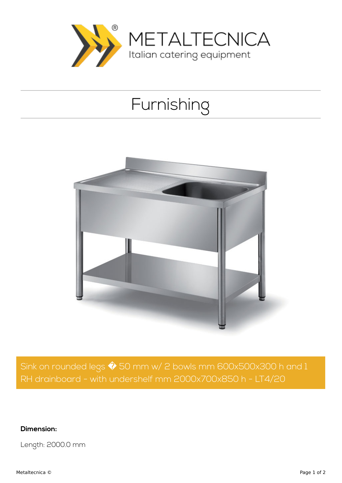

## Furnishing



Sink on rounded legs  $\hat{\blacklozenge}$  50 mm w/ 2 bowls mm 600x500x300 h and 1 RH drainboard - with undershelf mm 2000x700x850 h - LT4/20

**Dimension:**

Length: 2000.0 mm